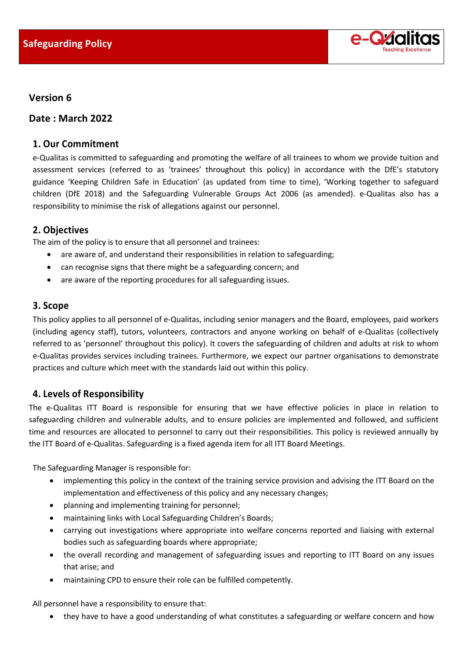

### **Version 6**

**Date : March 2022**

### **1. Our Commitment**

e-Qualitas is committed to safeguarding and promoting the welfare of all trainees to whom we provide tuition and assessment services (referred to as 'trainees' throughout this policy) in accordance with the DfE's statutory guidance 'Keeping Children Safe in Education' (as updated from time to time), 'Working together to safeguard children (DfE 2018) and the Safeguarding Vulnerable Groups Act 2006 (as amended). e-Qualitas also has a responsibility to minimise the risk of allegations against our personnel.

### **2. Objectives**

The aim of the policy is to ensure that all personnel and trainees:

- are aware of, and understand their responsibilities in relation to safeguarding;
- can recognise signs that there might be a safeguarding concern; and
- are aware of the reporting procedures for all safeguarding issues.

### **3. Scope**

This policy applies to all personnel of e-Qualitas, including senior managers and the Board, employees, paid workers (including agency staff), tutors, volunteers, contractors and anyone working on behalf of e-Qualitas (collectively referred to as 'personnel' throughout this policy). It covers the safeguarding of children and adults at risk to whom e-Qualitas provides services including trainees. Furthermore, we expect our partner organisations to demonstrate practices and culture which meet with the standards laid out within this policy.

## **4. Levels of Responsibility**

The e-Qualitas ITT Board is responsible for ensuring that we have effective policies in place in relation to safeguarding children and vulnerable adults, and to ensure policies are implemented and followed, and sufficient time and resources are allocated to personnel to carry out their responsibilities. This policy is reviewed annually by the ITT Board of e-Qualitas. Safeguarding is a fixed agenda item for all ITT Board Meetings.

The Safeguarding Manager is responsible for:

- implementing this policy in the context of the training service provision and advising the ITT Board on the implementation and effectiveness of this policy and any necessary changes;
- planning and implementing training for personnel;
- maintaining links with Local Safeguarding Children's Boards;
- carrying out investigations where appropriate into welfare concerns reported and liaising with external bodies such as safeguarding boards where appropriate;
- the overall recording and management of safeguarding issues and reporting to ITT Board on any issues that arise; and
- maintaining CPD to ensure their role can be fulfilled competently.

All personnel have a responsibility to ensure that:

• they have to have a good understanding of what constitutes a safeguarding or welfare concern and how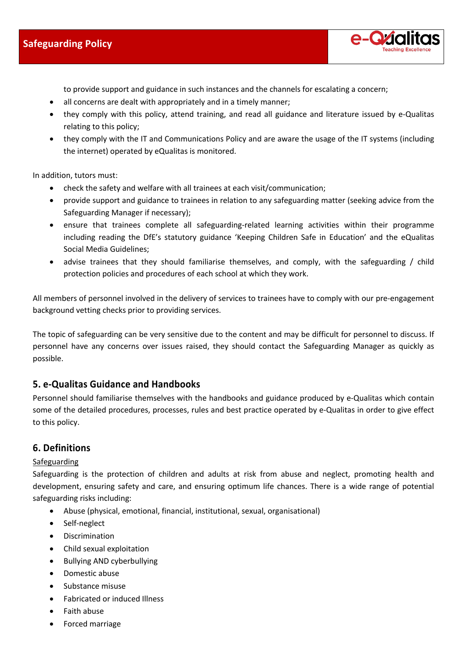# **Safeguarding Policy**



to provide support and guidance in such instances and the channels for escalating a concern;

- all concerns are dealt with appropriately and in a timely manner;
- they comply with this policy, attend training, and read all guidance and literature issued by e-Qualitas relating to this policy;
- they comply with the IT and Communications Policy and are aware the usage of the IT systems (including the internet) operated by eQualitas is monitored.

In addition, tutors must:

- check the safety and welfare with all trainees at each visit/communication;
- provide support and guidance to trainees in relation to any safeguarding matter (seeking advice from the Safeguarding Manager if necessary);
- ensure that trainees complete all safeguarding-related learning activities within their programme including reading the DfE's statutory guidance 'Keeping Children Safe in Education' and the eQualitas Social Media Guidelines;
- advise trainees that they should familiarise themselves, and comply, with the safeguarding / child protection policies and procedures of each school at which they work.

All members of personnel involved in the delivery of services to trainees have to comply with our pre-engagement background vetting checks prior to providing services.

The topic of safeguarding can be very sensitive due to the content and may be difficult for personnel to discuss. If personnel have any concerns over issues raised, they should contact the Safeguarding Manager as quickly as possible.

### **5. e-Qualitas Guidance and Handbooks**

Personnel should familiarise themselves with the handbooks and guidance produced by e-Qualitas which contain some of the detailed procedures, processes, rules and best practice operated by e-Qualitas in order to give effect to this policy.

### **6. Definitions**

### Safeguarding

Safeguarding is the protection of children and adults at risk from abuse and neglect, promoting health and development, ensuring safety and care, and ensuring optimum life chances. There is a wide range of potential safeguarding risks including:

- Abuse (physical, emotional, financial, institutional, sexual, organisational)
- Self-neglect
- Discrimination
- Child sexual exploitation
- Bullying AND cyberbullying
- Domestic abuse
- Substance misuse
- Fabricated or induced Illness
- Faith abuse
- Forced marriage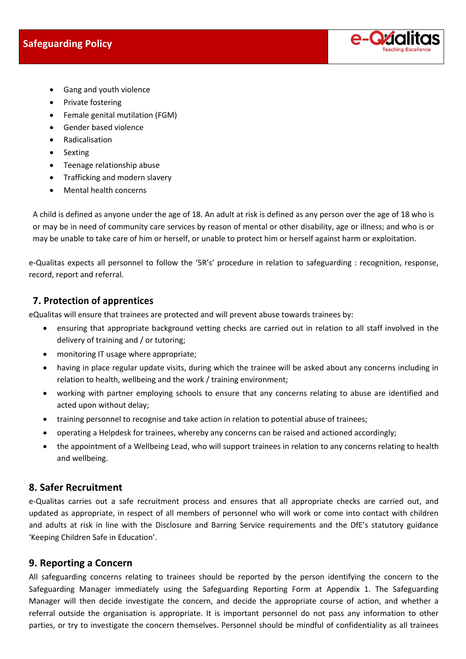

- Gang and youth violence
- Private fostering
- Female genital mutilation (FGM)
- Gender based violence
- Radicalisation
- Sexting
- Teenage relationship abuse
- Trafficking and modern slavery
- Mental health concerns

A child is defined as anyone under the age of 18. An adult at risk is defined as any person over the age of 18 who is or may be in need of community care services by reason of mental or other disability, age or illness; and who is or may be unable to take care of him or herself, or unable to protect him or herself against harm or exploitation.

e-Qualitas expects all personnel to follow the '5R's' procedure in relation to safeguarding : recognition, response, record, report and referral.

# **7. Protection of apprentices**

eQualitas will ensure that trainees are protected and will prevent abuse towards trainees by:

- ensuring that appropriate background vetting checks are carried out in relation to all staff involved in the delivery of training and / or tutoring;
- monitoring IT usage where appropriate;
- having in place regular update visits, during which the trainee will be asked about any concerns including in relation to health, wellbeing and the work / training environment;
- working with partner employing schools to ensure that any concerns relating to abuse are identified and acted upon without delay;
- training personnel to recognise and take action in relation to potential abuse of trainees;
- operating a Helpdesk for trainees, whereby any concerns can be raised and actioned accordingly;
- the appointment of a Wellbeing Lead, who will support trainees in relation to any concerns relating to health and wellbeing.

## **8. Safer Recruitment**

e-Qualitas carries out a safe recruitment process and ensures that all appropriate checks are carried out, and updated as appropriate, in respect of all members of personnel who will work or come into contact with children and adults at risk in line with the Disclosure and Barring Service requirements and the DfE's statutory guidance 'Keeping Children Safe in Education'.

## **9. Reporting a Concern**

All safeguarding concerns relating to trainees should be reported by the person identifying the concern to the Safeguarding Manager immediately using the Safeguarding Reporting Form at Appendix 1. The Safeguarding Manager will then decide investigate the concern, and decide the appropriate course of action, and whether a referral outside the organisation is appropriate. It is important personnel do not pass any information to other parties, or try to investigate the concern themselves. Personnel should be mindful of confidentiality as all trainees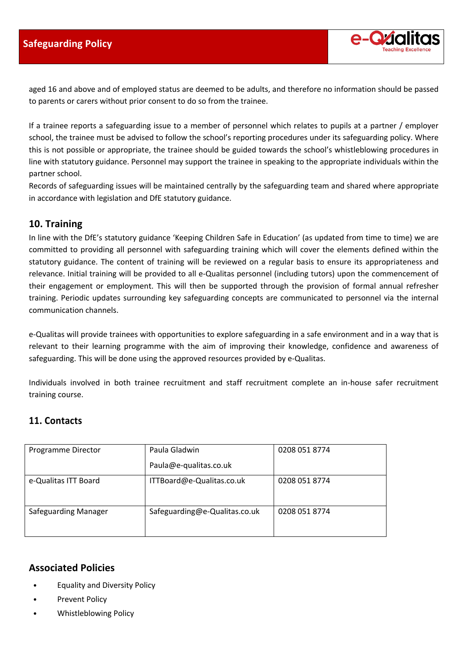

aged 16 and above and of employed status are deemed to be adults, and therefore no information should be passed to parents or carers without prior consent to do so from the trainee.

If a trainee reports a safeguarding issue to a member of personnel which relates to pupils at a partner / employer school, the trainee must be advised to follow the school's reporting procedures under its safeguarding policy. Where this is not possible or appropriate, the trainee should be guided towards the school's whistleblowing procedures in line with statutory guidance. Personnel may support the trainee in speaking to the appropriate individuals within the partner school.

Records of safeguarding issues will be maintained centrally by the safeguarding team and shared where appropriate in accordance with legislation and DfE statutory guidance.

## **10. Training**

In line with the DfE's statutory guidance 'Keeping Children Safe in Education' (as updated from time to time) we are committed to providing all personnel with safeguarding training which will cover the elements defined within the statutory guidance. The content of training will be reviewed on a regular basis to ensure its appropriateness and relevance. Initial training will be provided to all e-Qualitas personnel (including tutors) upon the commencement of their engagement or employment. This will then be supported through the provision of formal annual refresher training. Periodic updates surrounding key safeguarding concepts are communicated to personnel via the internal communication channels.

e-Qualitas will provide trainees with opportunities to explore safeguarding in a safe environment and in a way that is relevant to their learning programme with the aim of improving their knowledge, confidence and awareness of safeguarding. This will be done using the approved resources provided by e-Qualitas.

Individuals involved in both trainee recruitment and staff recruitment complete an in-house safer recruitment training course.

## **11. Contacts**

| Programme Director   | Paula Gladwin                 | 0208 051 8774 |
|----------------------|-------------------------------|---------------|
|                      | Paula@e-qualitas.co.uk        |               |
| e-Qualitas ITT Board | ITTBoard@e-Qualitas.co.uk     | 0208 051 8774 |
| Safeguarding Manager | Safeguarding@e-Qualitas.co.uk | 0208 051 8774 |

## **Associated Policies**

- Equality and Diversity Policy
- Prevent Policy
- Whistleblowing Policy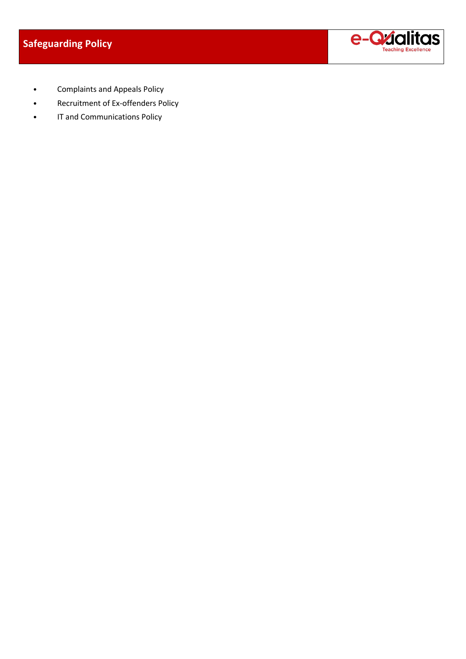

- Complaints and Appeals Policy
- Recruitment of Ex-offenders Policy
- IT and Communications Policy